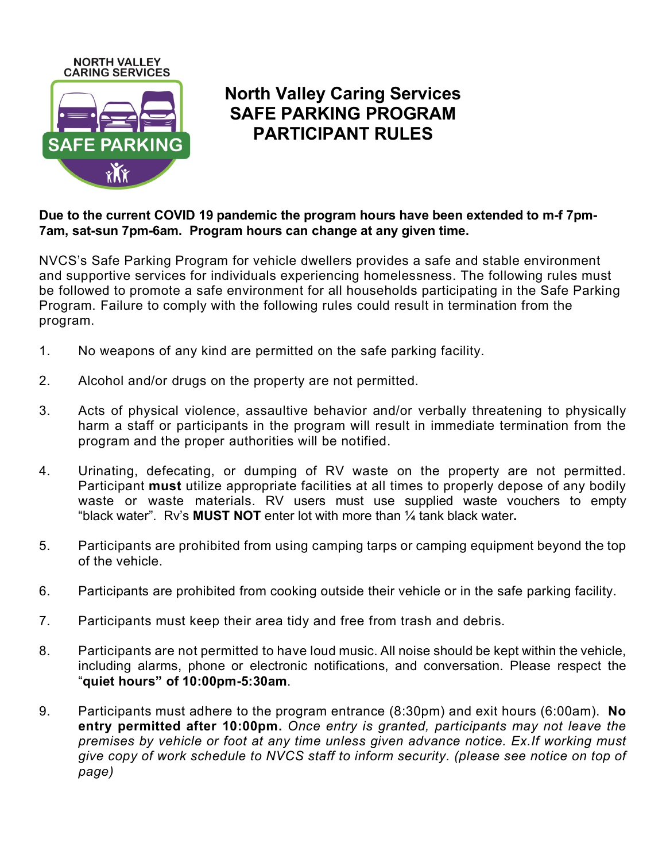

## **North Valley Caring Services SAFE PARKING PROGRAM PARTICIPANT RULES**

**Due to the current COVID 19 pandemic the program hours have been extended to m-f 7pm-7am, sat-sun 7pm-6am. Program hours can change at any given time.**

NVCS's Safe Parking Program for vehicle dwellers provides a safe and stable environment and supportive services for individuals experiencing homelessness. The following rules must be followed to promote a safe environment for all households participating in the Safe Parking Program. Failure to comply with the following rules could result in termination from the program.

- 1. No weapons of any kind are permitted on the safe parking facility.
- 2. Alcohol and/or drugs on the property are not permitted.
- 3. Acts of physical violence, assaultive behavior and/or verbally threatening to physically harm a staff or participants in the program will result in immediate termination from the program and the proper authorities will be notified.
- 4. Urinating, defecating, or dumping of RV waste on the property are not permitted. Participant **must** utilize appropriate facilities at all times to properly depose of any bodily waste or waste materials. RV users must use supplied waste vouchers to empty "black water". Rv's **MUST NOT** enter lot with more than ¼ tank black water**.**
- 5. Participants are prohibited from using camping tarps or camping equipment beyond the top of the vehicle.
- 6. Participants are prohibited from cooking outside their vehicle or in the safe parking facility.
- 7. Participants must keep their area tidy and free from trash and debris.
- 8. Participants are not permitted to have loud music. All noise should be kept within the vehicle, including alarms, phone or electronic notifications, and conversation. Please respect the "**quiet hours" of 10:00pm-5:30am**.
- 9. Participants must adhere to the program entrance (8:30pm) and exit hours (6:00am). **No entry permitted after 10:00pm.** *Once entry is granted, participants may not leave the premises by vehicle or foot at any time unless given advance notice. Ex.If working must give copy of work schedule to NVCS staff to inform security. (please see notice on top of page)*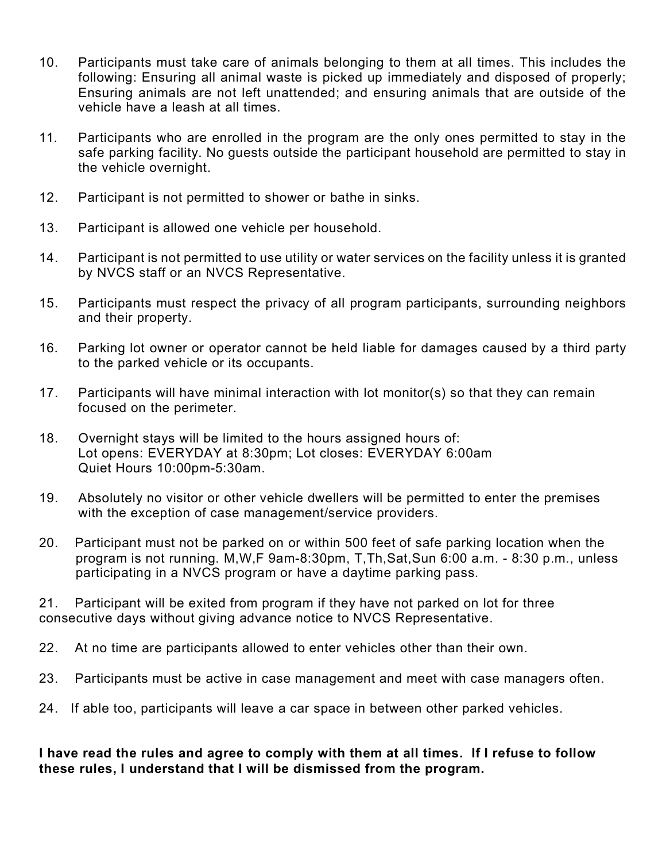- 10. Participants must take care of animals belonging to them at all times. This includes the following: Ensuring all animal waste is picked up immediately and disposed of properly; Ensuring animals are not left unattended; and ensuring animals that are outside of the vehicle have a leash at all times.
- 11. Participants who are enrolled in the program are the only ones permitted to stay in the safe parking facility. No guests outside the participant household are permitted to stay in the vehicle overnight.
- 12. Participant is not permitted to shower or bathe in sinks.
- 13. Participant is allowed one vehicle per household.
- 14. Participant is not permitted to use utility or water services on the facility unless it is granted by NVCS staff or an NVCS Representative.
- 15. Participants must respect the privacy of all program participants, surrounding neighbors and their property.
- 16. Parking lot owner or operator cannot be held liable for damages caused by a third party to the parked vehicle or its occupants.
- 17. Participants will have minimal interaction with lot monitor(s) so that they can remain focused on the perimeter.
- 18. Overnight stays will be limited to the hours assigned hours of: Lot opens: EVERYDAY at 8:30pm; Lot closes: EVERYDAY 6:00am Quiet Hours 10:00pm-5:30am.
- 19. Absolutely no visitor or other vehicle dwellers will be permitted to enter the premises with the exception of case management/service providers.
- 20. Participant must not be parked on or within 500 feet of safe parking location when the program is not running. M,W,F 9am-8:30pm, T,Th,Sat,Sun 6:00 a.m. - 8:30 p.m., unless participating in a NVCS program or have a daytime parking pass.

21. Participant will be exited from program if they have not parked on lot for three consecutive days without giving advance notice to NVCS Representative.

- 22. At no time are participants allowed to enter vehicles other than their own.
- 23. Participants must be active in case management and meet with case managers often.
- 24. If able too, participants will leave a car space in between other parked vehicles.

## **I have read the rules and agree to comply with them at all times. If I refuse to follow these rules, I understand that I will be dismissed from the program.**